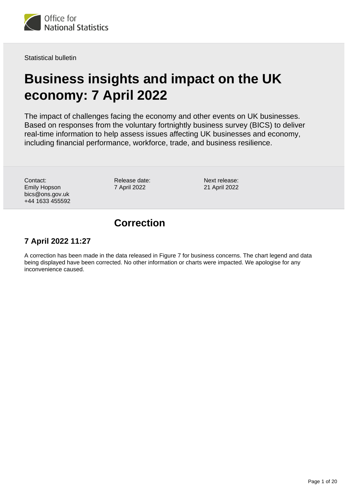

Statistical bulletin

# **Business insights and impact on the UK economy: 7 April 2022**

The impact of challenges facing the economy and other events on UK businesses. Based on responses from the voluntary fortnightly business survey (BICS) to deliver real-time information to help assess issues affecting UK businesses and economy, including financial performance, workforce, trade, and business resilience.

Contact: Emily Hopson bics@ons.gov.uk +44 1633 455592 Release date: 7 April 2022

Next release: 21 April 2022

## **Correction**

### **7 April 2022 11:27**

A correction has been made in the data released in Figure 7 for business concerns. The chart legend and data being displayed have been corrected. No other information or charts were impacted. We apologise for any inconvenience caused.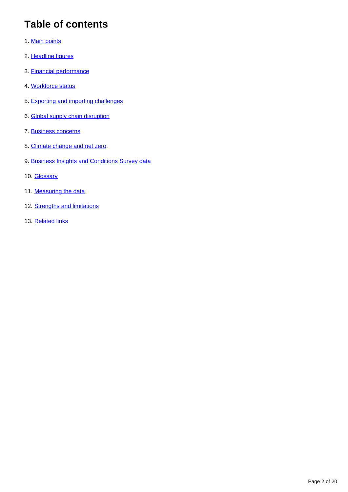# **Table of contents**

- 1. [Main points](#page-2-0)
- 2. [Headline figures](#page-2-1)
- 3. [Financial performance](#page-4-0)
- 4. [Workforce status](#page-6-0)
- 5. [Exporting and importing challenges](#page-10-0)
- 6. [Global supply chain disruption](#page-11-0)
- 7. [Business concerns](#page-14-0)
- 8. [Climate change and net zero](#page-16-0)
- 9. [Business Insights and Conditions Survey data](#page-17-0)
- 10. **[Glossary](#page-17-1)**
- 11. [Measuring the data](#page-18-0)
- 12. [Strengths and limitations](#page-19-0)
- 13. [Related links](#page-19-1)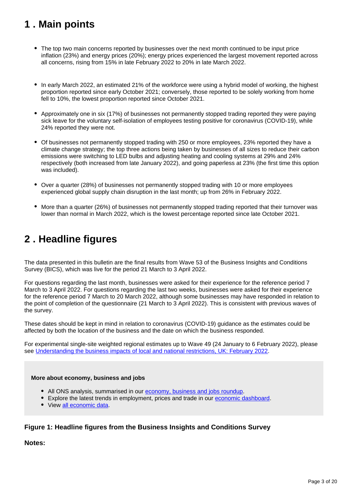# <span id="page-2-0"></span>**1 . Main points**

- The top two main concerns reported by businesses over the next month continued to be input price inflation (23%) and energy prices (20%); energy prices experienced the largest movement reported across all concerns, rising from 15% in late February 2022 to 20% in late March 2022.
- In early March 2022, an estimated 21% of the workforce were using a hybrid model of working, the highest proportion reported since early October 2021; conversely, those reported to be solely working from home fell to 10%, the lowest proportion reported since October 2021.
- Approximately one in six (17%) of businesses not permanently stopped trading reported they were paying sick leave for the voluntary self-isolation of employees testing positive for coronavirus (COVID-19), while 24% reported they were not.
- Of businesses not permanently stopped trading with 250 or more employees, 23% reported they have a climate change strategy; the top three actions being taken by businesses of all sizes to reduce their carbon emissions were switching to LED bulbs and adjusting heating and cooling systems at 29% and 24% respectively (both increased from late January 2022), and going paperless at 23% (the first time this option was included).
- Over a quarter (28%) of businesses not permanently stopped trading with 10 or more employees experienced global supply chain disruption in the last month; up from 26% in February 2022.
- More than a quarter (26%) of businesses not permanently stopped trading reported that their turnover was lower than normal in March 2022, which is the lowest percentage reported since late October 2021.

## <span id="page-2-1"></span>**2 . Headline figures**

The data presented in this bulletin are the final results from Wave 53 of the Business Insights and Conditions Survey (BICS), which was live for the period 21 March to 3 April 2022.

For questions regarding the last month, businesses were asked for their experience for the reference period 7 March to 3 April 2022. For questions regarding the last two weeks, businesses were asked for their experience for the reference period 7 March to 20 March 2022, although some businesses may have responded in relation to the point of completion of the questionnaire (21 March to 3 April 2022). This is consistent with previous waves of the survey.

These dates should be kept in mind in relation to coronavirus (COVID-19) guidance as the estimates could be affected by both the location of the business and the date on which the business responded.

For experimental single-site weighted regional estimates up to Wave 49 (24 January to 6 February 2022), please see [Understanding the business impacts of local and national restrictions, UK: February 2022](https://www.ons.gov.uk/businessindustryandtrade/business/businessservices/articles/businessinsightsandimpactontheukandsubnationaleconomy/february2022).

### **More about economy, business and jobs**

- All ONS analysis, summarised in our [economy, business and jobs roundup.](https://www.ons.gov.uk/economy/economicoutputandproductivity/output/articles/ukeconomylatest/2021-01-25)
- **Explore the latest trends in employment, prices and trade in our [economic dashboard.](https://www.ons.gov.uk/economy/nationalaccounts/articles/dashboardunderstandingtheukeconomy/2017-02-22)**
- View [all economic data](https://www.ons.gov.uk/economy/datalist?filter=datasets).

### **Figure 1: Headline figures from the Business Insights and Conditions Survey**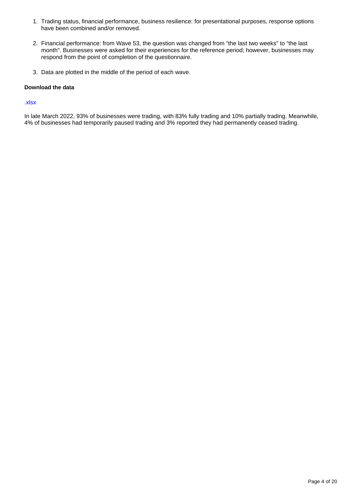- 1. Trading status, financial performance, business resilience: for presentational purposes, response options have been combined and/or removed.
- 2. Financial performance: from Wave 53, the question was changed from "the last two weeks" to "the last month". Businesses were asked for their experiences for the reference period; however, businesses may respond from the point of completion of the questionnaire.
- 3. Data are plotted in the middle of the period of each wave.

#### **Download the data**

#### [.xlsx](https://www.ons.gov.uk/visualisations/dvc1909/dashboard/datadownload.xlsx)

In late March 2022, 93% of businesses were trading, with 83% fully trading and 10% partially trading. Meanwhile, 4% of businesses had temporarily paused trading and 3% reported they had permanently ceased trading.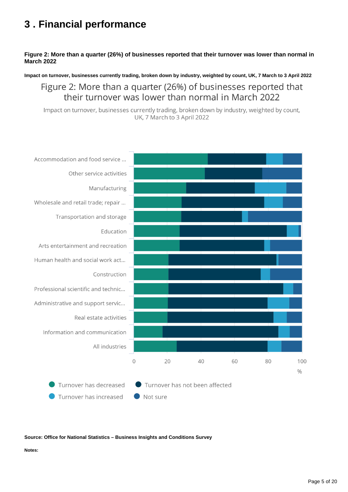# <span id="page-4-0"></span>**3 . Financial performance**

### **Figure 2: More than a quarter (26%) of businesses reported that their turnover was lower than normal in March 2022**

**Impact on turnover, businesses currently trading, broken down by industry, weighted by count, UK, 7 March to 3 April 2022**

Figure 2: More than a quarter (26%) of businesses reported that their turnover was lower than normal in March 2022

Impact on turnover, businesses currently trading, broken down by industry, weighted by count, UK, 7 March to 3 April 2022



#### **Source: Office for National Statistics – Business Insights and Conditions Survey**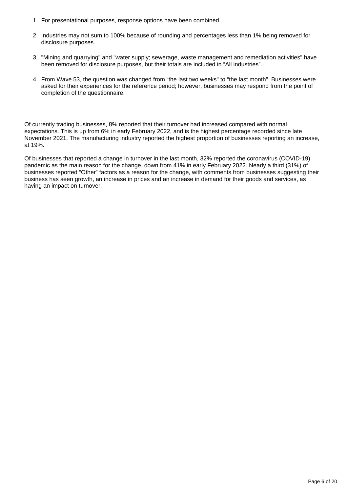- 1. For presentational purposes, response options have been combined.
- 2. Industries may not sum to 100% because of rounding and percentages less than 1% being removed for disclosure purposes.
- 3. "Mining and quarrying" and "water supply; sewerage, waste management and remediation activities" have been removed for disclosure purposes, but their totals are included in "All industries".
- 4. From Wave 53, the question was changed from "the last two weeks" to "the last month". Businesses were asked for their experiences for the reference period; however, businesses may respond from the point of completion of the questionnaire.

Of currently trading businesses, 8% reported that their turnover had increased compared with normal expectations. This is up from 6% in early February 2022, and is the highest percentage recorded since late November 2021. The manufacturing industry reported the highest proportion of businesses reporting an increase, at 19%.

Of businesses that reported a change in turnover in the last month, 32% reported the coronavirus (COVID-19) pandemic as the main reason for the change, down from 41% in early February 2022. Nearly a third (31%) of businesses reported "Other" factors as a reason for the change, with comments from businesses suggesting their business has seen growth, an increase in prices and an increase in demand for their goods and services, as having an impact on turnover.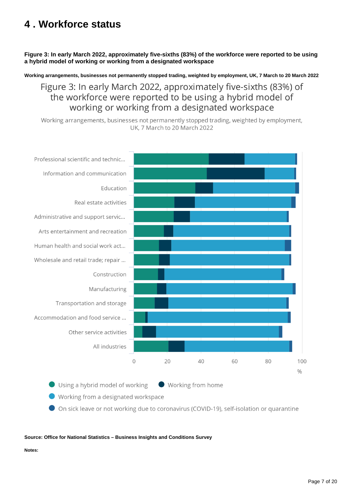# <span id="page-6-0"></span>**4 . Workforce status**

**Figure 3: In early March 2022, approximately five-sixths (83%) of the workforce were reported to be using a hybrid model of working or working from a designated workspace**

**Working arrangements, businesses not permanently stopped trading, weighted by employment, UK, 7 March to 20 March 2022**

Figure 3: In early March 2022, approximately five-sixths (83%) of the workforce were reported to be using a hybrid model of working or working from a designated workspace

Working arrangements, businesses not permanently stopped trading, weighted by employment, UK, 7 March to 20 March 2022



Using a hybrid model of working

Working from home

Working from a designated workspace

On sick leave or not working due to coronavirus (COVID-19), self-isolation or quarantine

**Source: Office for National Statistics – Business Insights and Conditions Survey**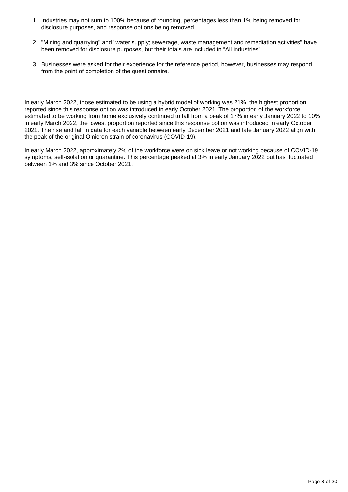- 1. Industries may not sum to 100% because of rounding, percentages less than 1% being removed for disclosure purposes, and response options being removed.
- 2. "Mining and quarrying" and "water supply; sewerage, waste management and remediation activities" have been removed for disclosure purposes, but their totals are included in "All industries".
- 3. Businesses were asked for their experience for the reference period, however, businesses may respond from the point of completion of the questionnaire.

In early March 2022, those estimated to be using a hybrid model of working was 21%, the highest proportion reported since this response option was introduced in early October 2021. The proportion of the workforce estimated to be working from home exclusively continued to fall from a peak of 17% in early January 2022 to 10% in early March 2022, the lowest proportion reported since this response option was introduced in early October 2021. The rise and fall in data for each variable between early December 2021 and late January 2022 align with the peak of the original Omicron strain of coronavirus (COVID-19).

In early March 2022, approximately 2% of the workforce were on sick leave or not working because of COVID-19 symptoms, self-isolation or quarantine. This percentage peaked at 3% in early January 2022 but has fluctuated between 1% and 3% since October 2021.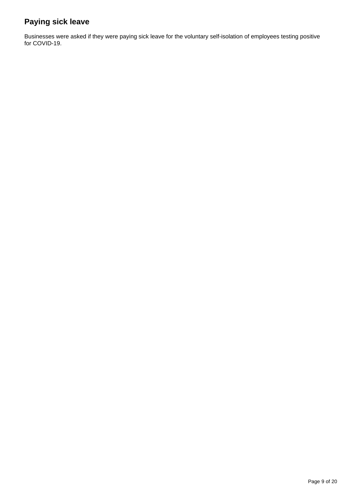### **Paying sick leave**

Businesses were asked if they were paying sick leave for the voluntary self-isolation of employees testing positive for COVID-19.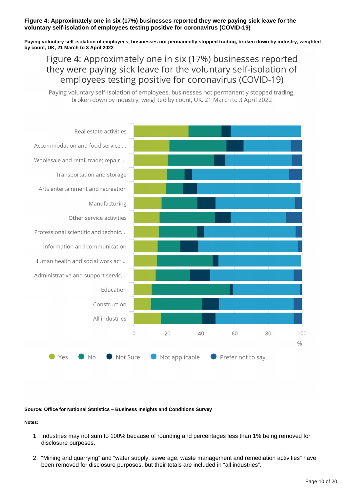### **Figure 4: Approximately one in six (17%) businesses reported they were paying sick leave for the voluntary self-isolation of employees testing positive for coronavirus (COVID-19)**

**Paying voluntary self-isolation of employees, businesses not permanently stopped trading, broken down by industry, weighted by count, UK, 21 March to 3 April 2022**

Figure 4: Approximately one in six (17%) businesses reported they were paying sick leave for the voluntary self-isolation of employees testing positive for coronavirus (COVID-19)

Paying voluntary self-isolation of employees, businesses not permanently stopped trading, broken down by industry, weighted by count, UK, 21 March to 3 April 2022



**Source: Office for National Statistics – Business Insights and Conditions Survey**

- 1. Industries may not sum to 100% because of rounding and percentages less than 1% being removed for disclosure purposes.
- 2. "Mining and quarrying" and "water supply, sewerage, waste management and remediation activities" have been removed for disclosure purposes, but their totals are included in "all industries".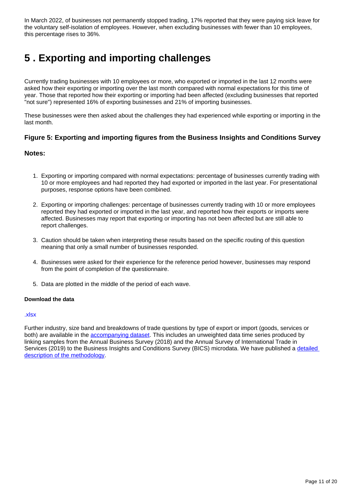In March 2022, of businesses not permanently stopped trading, 17% reported that they were paying sick leave for the voluntary self-isolation of employees. However, when excluding businesses with fewer than 10 employees, this percentage rises to 36%.

# <span id="page-10-0"></span>**5 . Exporting and importing challenges**

Currently trading businesses with 10 employees or more, who exported or imported in the last 12 months were asked how their exporting or importing over the last month compared with normal expectations for this time of year. Those that reported how their exporting or importing had been affected (excluding businesses that reported "not sure") represented 16% of exporting businesses and 21% of importing businesses.

These businesses were then asked about the challenges they had experienced while exporting or importing in the last month.

### **Figure 5: Exporting and importing figures from the Business Insights and Conditions Survey**

### **Notes:**

- 1. Exporting or importing compared with normal expectations: percentage of businesses currently trading with 10 or more employees and had reported they had exported or imported in the last year. For presentational purposes, response options have been combined.
- 2. Exporting or importing challenges: percentage of businesses currently trading with 10 or more employees reported they had exported or imported in the last year, and reported how their exports or imports were affected. Businesses may report that exporting or importing has not been affected but are still able to report challenges.
- 3. Caution should be taken when interpreting these results based on the specific routing of this question meaning that only a small number of businesses responded.
- 4. Businesses were asked for their experience for the reference period however, businesses may respond from the point of completion of the questionnaire.
- 5. Data are plotted in the middle of the period of each wave.

#### **Download the data**

#### [.xlsx](https://www.ons.gov.uk/visualisations/dvc1909/trade/datadownload.xlsx)

Further industry, size band and breakdowns of trade questions by type of export or import (goods, services or both) are available in the [accompanying dataset](https://www.ons.gov.uk/economy/economicoutputandproductivity/output/datasets/businessinsightsandimpactontheukeconomy). This includes an unweighted data time series produced by linking samples from the Annual Business Survey (2018) and the Annual Survey of International Trade in Services (2019) to the Business Insights and Conditions Survey (BICS) microdata. We have published a detailed [description of the methodology](https://www.ons.gov.uk/businessindustryandtrade/internationaltrade/articles/earlyindicatorsoftheimpactofeuexitandthecoronavirusonukbusinessestradinginservices/june2020toapril2021).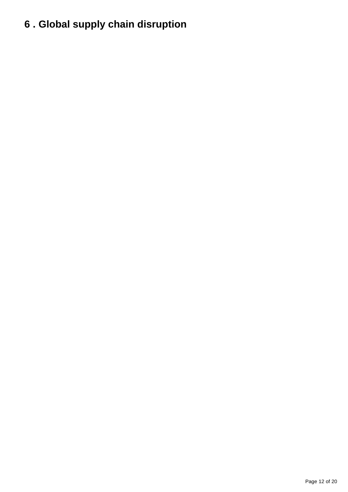# <span id="page-11-0"></span>**6 . Global supply chain disruption**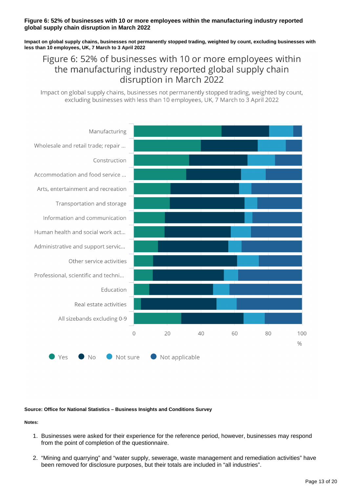### **Figure 6: 52% of businesses with 10 or more employees within the manufacturing industry reported global supply chain disruption in March 2022**

**Impact on global supply chains, businesses not permanently stopped trading, weighted by count, excluding businesses with less than 10 employees, UK, 7 March to 3 April 2022**

### Figure 6: 52% of businesses with 10 or more employees within the manufacturing industry reported global supply chain disruption in March 2022

Impact on global supply chains, businesses not permanently stopped trading, weighted by count, excluding businesses with less than 10 employees, UK, 7 March to 3 April 2022



#### **Source: Office for National Statistics – Business Insights and Conditions Survey**

- 1. Businesses were asked for their experience for the reference period, however, businesses may respond from the point of completion of the questionnaire.
- 2. "Mining and quarrying" and "water supply, sewerage, waste management and remediation activities" have been removed for disclosure purposes, but their totals are included in "all industries".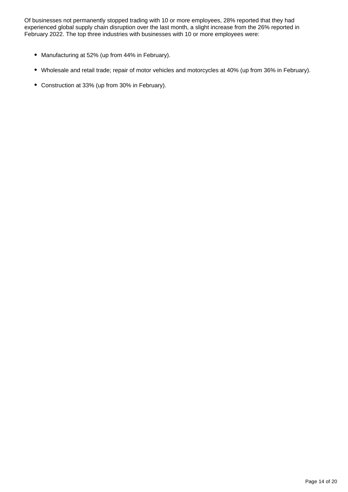Of businesses not permanently stopped trading with 10 or more employees, 28% reported that they had experienced global supply chain disruption over the last month, a slight increase from the 26% reported in February 2022. The top three industries with businesses with 10 or more employees were:

- Manufacturing at 52% (up from 44% in February).
- Wholesale and retail trade; repair of motor vehicles and motorcycles at 40% (up from 36% in February).
- Construction at 33% (up from 30% in February).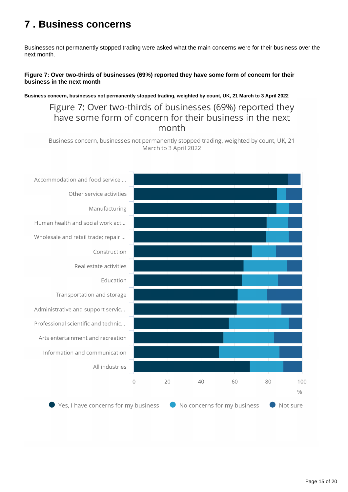## <span id="page-14-0"></span>**7 . Business concerns**

Businesses not permanently stopped trading were asked what the main concerns were for their business over the next month.

### **Figure 7: Over two-thirds of businesses (69%) reported they have some form of concern for their business in the next month**

**Business concern, businesses not permanently stopped trading, weighted by count, UK, 21 March to 3 April 2022**

### Figure 7: Over two-thirds of businesses (69%) reported they have some form of concern for their business in the next month

Business concern, businesses not permanently stopped trading, weighted by count, UK, 21 March to 3 April 2022

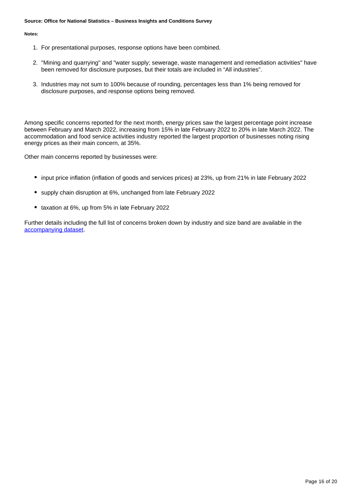#### **Source: Office for National Statistics – Business Insights and Conditions Survey**

#### **Notes:**

- 1. For presentational purposes, response options have been combined.
- 2. "Mining and quarrying" and "water supply; sewerage, waste management and remediation activities" have been removed for disclosure purposes, but their totals are included in "All industries".
- 3. Industries may not sum to 100% because of rounding, percentages less than 1% being removed for disclosure purposes, and response options being removed.

Among specific concerns reported for the next month, energy prices saw the largest percentage point increase between February and March 2022, increasing from 15% in late February 2022 to 20% in late March 2022. The accommodation and food service activities industry reported the largest proportion of businesses noting rising energy prices as their main concern, at 35%.

Other main concerns reported by businesses were:

- input price inflation (inflation of goods and services prices) at 23%, up from 21% in late February 2022
- supply chain disruption at 6%, unchanged from late February 2022
- taxation at 6%, up from 5% in late February 2022

Further details including the full list of concerns broken down by industry and size band are available in the [accompanying dataset.](https://www.ons.gov.uk/economy/economicoutputandproductivity/output/datasets/businessinsightsandimpactontheukeconomy)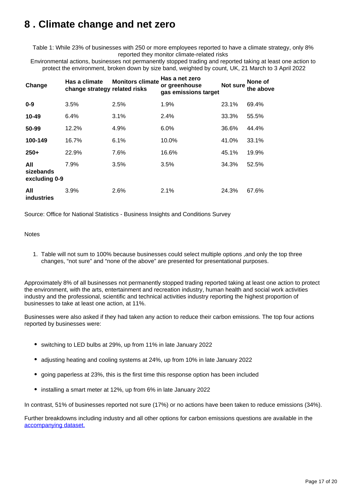## <span id="page-16-0"></span>**8 . Climate change and net zero**

Table 1: While 23% of businesses with 250 or more employees reported to have a climate strategy, only 8% reported they monitor climate-related risks

Environmental actions, businesses not permanently stopped trading and reported taking at least one action to protect the environment, broken down by size band, weighted by count, UK, 21 March to 3 April 2022

| Change                            | Has a climate<br>change strategy related risks | <b>Monitors climate</b> | Has a net zero<br>or greenhouse<br>gas emissions target | <b>Not sure</b> | None of<br>the above |
|-----------------------------------|------------------------------------------------|-------------------------|---------------------------------------------------------|-----------------|----------------------|
| $0 - 9$                           | 3.5%                                           | 2.5%                    | 1.9%                                                    | 23.1%           | 69.4%                |
| 10-49                             | 6.4%                                           | 3.1%                    | 2.4%                                                    | 33.3%           | 55.5%                |
| 50-99                             | 12.2%                                          | 4.9%                    | 6.0%                                                    | 36.6%           | 44.4%                |
| 100-149                           | 16.7%                                          | 6.1%                    | 10.0%                                                   | 41.0%           | 33.1%                |
| $250+$                            | 22.9%                                          | 7.6%                    | 16.6%                                                   | 45.1%           | 19.9%                |
| All<br>sizebands<br>excluding 0-9 | 7.9%                                           | 3.5%                    | 3.5%                                                    | 34.3%           | 52.5%                |
| All<br>industries                 | 3.9%                                           | 2.6%                    | 2.1%                                                    | 24.3%           | 67.6%                |

Source: Office for National Statistics - Business Insights and Conditions Survey

#### **Notes**

1. Table will not sum to 100% because businesses could select multiple options ,and only the top three changes, "not sure" and "none of the above" are presented for presentational purposes.

Approximately 8% of all businesses not permanently stopped trading reported taking at least one action to protect the environment, with the arts, entertainment and recreation industry, human health and social work activities industry and the professional, scientific and technical activities industry reporting the highest proportion of businesses to take at least one action, at 11%.

Businesses were also asked if they had taken any action to reduce their carbon emissions. The top four actions reported by businesses were:

- switching to LED bulbs at 29%, up from 11% in late January 2022
- adjusting heating and cooling systems at 24%, up from 10% in late January 2022
- going paperless at 23%, this is the first time this response option has been included
- installing a smart meter at 12%, up from 6% in late January 2022

In contrast, 51% of businesses reported not sure (17%) or no actions have been taken to reduce emissions (34%).

Further breakdowns including industry and all other options for carbon emissions questions are available in the [accompanying dataset.](https://www.ons.gov.uk/economy/economicoutputandproductivity/output/datasets/businessinsightsandimpactontheukeconomy)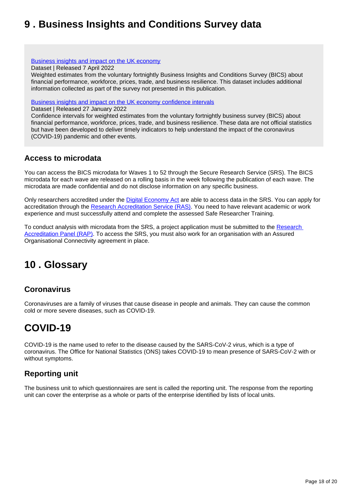## <span id="page-17-0"></span>**9 . Business Insights and Conditions Survey data**

### [Business insights and impact on the UK economy](https://www.ons.gov.uk/economy/economicoutputandproductivity/output/datasets/businessinsightsandimpactontheukeconomy)

Dataset | Released 7 April 2022

Weighted estimates from the voluntary fortnightly Business Insights and Conditions Survey (BICS) about financial performance, workforce, prices, trade, and business resilience. This dataset includes additional information collected as part of the survey not presented in this publication.

[Business insights and impact on the UK economy confidence intervals](https://www.ons.gov.uk/economy/economicoutputandproductivity/output/datasets/businessinsightsandimpactontheukeconomyconfidenceintervals)

Dataset | Released 27 January 2022

Confidence intervals for weighted estimates from the voluntary fortnightly business survey (BICS) about financial performance, workforce, prices, trade, and business resilience. These data are not official statistics but have been developed to deliver timely indicators to help understand the impact of the coronavirus (COVID-19) pandemic and other events.

### **Access to microdata**

You can access the BICS microdata for Waves 1 to 52 through the Secure Research Service (SRS). The BICS microdata for each wave are released on a rolling basis in the week following the publication of each wave. The microdata are made confidential and do not disclose information on any specific business.

Only researchers accredited under the [Digital Economy Act](https://uksa.statisticsauthority.gov.uk/digitaleconomyact-research-statistics/) are able to access data in the SRS. You can apply for accreditation through the [Research Accreditation Service \(RAS\)](https://researchaccreditationservice.ons.gov.uk/ons/ONS_Registration.ofml). You need to have relevant academic or work experience and must successfully attend and complete the assessed Safe Researcher Training.

To conduct analysis with microdata from the SRS, a project application must be submitted to the Research [Accreditation Panel \(RAP\).](https://uksa.statisticsauthority.gov.uk/digitaleconomyact-research-statistics/research-accreditation-panel/) To access the SRS, you must also work for an organisation with an Assured Organisational Connectivity agreement in place.

# <span id="page-17-1"></span>**10 . Glossary**

### **Coronavirus**

Coronaviruses are a family of viruses that cause disease in people and animals. They can cause the common cold or more severe diseases, such as COVID-19.

## **COVID-19**

COVID-19 is the name used to refer to the disease caused by the SARS-CoV-2 virus, which is a type of coronavirus. The Office for National Statistics (ONS) takes COVID-19 to mean presence of SARS-CoV-2 with or without symptoms.

### **Reporting unit**

The business unit to which questionnaires are sent is called the reporting unit. The response from the reporting unit can cover the enterprise as a whole or parts of the enterprise identified by lists of local units.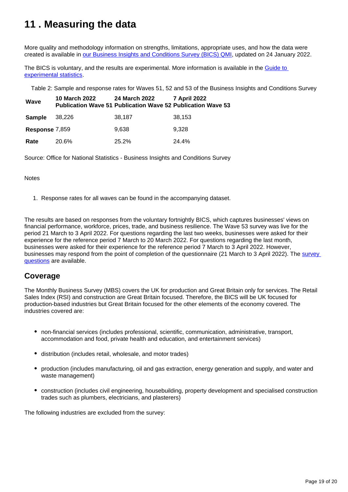# <span id="page-18-0"></span>**11 . Measuring the data**

More quality and methodology information on strengths, limitations, appropriate uses, and how the data were created is available in [our Business Insights and Conditions Survey \(BICS\) QMI,](https://www.ons.gov.uk/economy/economicoutputandproductivity/output/methodologies/businessinsightsandconditionssurveybicsqmi) updated on 24 January 2022.

The BICS is voluntary, and the results are experimental. More information is available in the [Guide to](https://www.ons.gov.uk/methodology/methodologytopicsandstatisticalconcepts/guidetoexperimentalstatistics)  [experimental statistics](https://www.ons.gov.uk/methodology/methodologytopicsandstatisticalconcepts/guidetoexperimentalstatistics).

Table 2: Sample and response rates for Waves 51, 52 and 53 of the Business Insights and Conditions Survey

| Wave           | 10 March 2022 | 24 March 2022<br><b>Publication Wave 51 Publication Wave 52 Publication Wave 53</b> | 7 April 2022 |
|----------------|---------------|-------------------------------------------------------------------------------------|--------------|
| Sample         | 38,226        | 38,187                                                                              | 38,153       |
| Response 7,859 |               | 9.638                                                                               | 9.328        |
| Rate           | 20.6%         | 25.2%                                                                               | 24.4%        |

Source: Office for National Statistics - Business Insights and Conditions Survey

**Notes** 

1. Response rates for all waves can be found in the accompanying dataset.

The results are based on responses from the voluntary fortnightly BICS, which captures businesses' views on financial performance, workforce, prices, trade, and business resilience. The Wave 53 survey was live for the period 21 March to 3 April 2022. For questions regarding the last two weeks, businesses were asked for their experience for the reference period 7 March to 20 March 2022. For questions regarding the last month, businesses were asked for their experience for the reference period 7 March to 3 April 2022. However, businesses may respond from the point of completion of the questionnaire (21 March to 3 April 2022). The survey [questions](https://www.ons.gov.uk/peoplepopulationandcommunity/healthandsocialcare/conditionsanddiseases/articles/businessimpactofcovid19surveyquestions/latest) are available.

### **Coverage**

The Monthly Business Survey (MBS) covers the UK for production and Great Britain only for services. The Retail Sales Index (RSI) and construction are Great Britain focused. Therefore, the BICS will be UK focused for production-based industries but Great Britain focused for the other elements of the economy covered. The industries covered are:

- non-financial services (includes professional, scientific, communication, administrative, transport, accommodation and food, private health and education, and entertainment services)
- distribution (includes retail, wholesale, and motor trades)
- production (includes manufacturing, oil and gas extraction, energy generation and supply, and water and waste management)
- construction (includes civil engineering, housebuilding, property development and specialised construction trades such as plumbers, electricians, and plasterers)

The following industries are excluded from the survey: